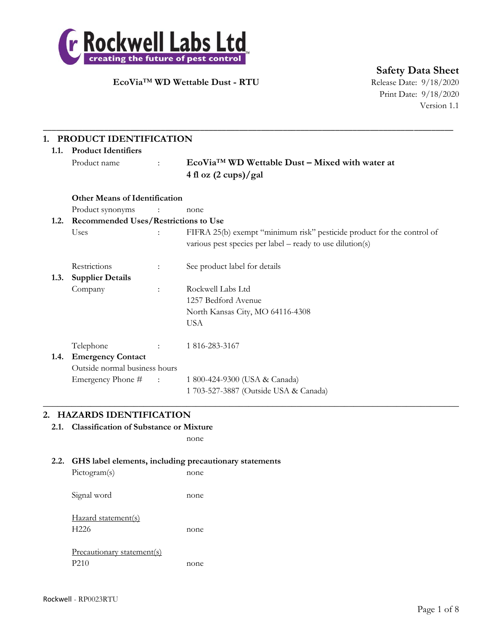

**Safety Data Sheet**

Print Date: 9/18/2020 Version 1.1

# **1. PRODUCT IDENTIFICATION**

| 1.1. | <b>Product Identifiers</b>           |                         |                                                                                                                                     |  |
|------|--------------------------------------|-------------------------|-------------------------------------------------------------------------------------------------------------------------------------|--|
|      | Product name                         | $\mathbf{r}$            | $EcoViaTM WD$ Wettable Dust – Mixed with water at                                                                                   |  |
|      |                                      |                         | 4 fl oz $(2 \text{ cups})$ /gal                                                                                                     |  |
|      | <b>Other Means of Identification</b> |                         |                                                                                                                                     |  |
|      | Product synonyms                     | $\sim 100$ M $_{\odot}$ | none                                                                                                                                |  |
| 1.2. | Recommended Uses/Restrictions to Use |                         |                                                                                                                                     |  |
|      | Uses                                 |                         | FIFRA 25(b) exempt "minimum risk" pesticide product for the control of<br>various pest species per label – ready to use dilution(s) |  |
|      | Restrictions                         | ÷                       | See product label for details                                                                                                       |  |
| 1.3. | <b>Supplier Details</b>              |                         |                                                                                                                                     |  |
|      | Company                              | $\ddot{\cdot}$          | Rockwell Labs Ltd                                                                                                                   |  |
|      |                                      |                         | 1257 Bedford Avenue                                                                                                                 |  |
|      |                                      |                         | North Kansas City, MO 64116-4308                                                                                                    |  |
|      |                                      |                         | <b>USA</b>                                                                                                                          |  |
|      | Telephone                            | $\mathcal{L}$           | 1816-283-3167                                                                                                                       |  |
| 1.4. | <b>Emergency Contact</b>             |                         |                                                                                                                                     |  |
|      | Outside normal business hours        |                         |                                                                                                                                     |  |
|      | Emergency Phone # :                  |                         | 1 800-424-9300 (USA & Canada)                                                                                                       |  |
|      |                                      |                         | 1 703-527-3887 (Outside USA & Canada)                                                                                               |  |

 $\_$  , and the set of the set of the set of the set of the set of the set of the set of the set of the set of the set of the set of the set of the set of the set of the set of the set of the set of the set of the set of th

\_\_\_\_\_\_\_\_\_\_\_\_\_\_\_\_\_\_\_\_\_\_\_\_\_\_\_\_\_\_\_\_\_\_\_\_\_\_\_\_\_\_\_\_\_\_\_\_\_\_\_\_\_\_\_\_\_\_\_\_\_\_\_\_\_\_\_\_\_\_\_\_\_\_\_\_\_\_\_\_\_\_\_\_\_\_\_\_\_\_\_\_\_\_

### **2. HAZARDS IDENTIFICATION**

**2.1. Classification of Substance or Mixture**

none

### **2.2. GHS label elements, including precautionary statements**

| Pictogram(s)                            | none |
|-----------------------------------------|------|
| Signal word                             | none |
| Hazard statement(s)<br>H <sub>226</sub> | none |
| Precautionary statement(s)<br>P210      |      |
|                                         | none |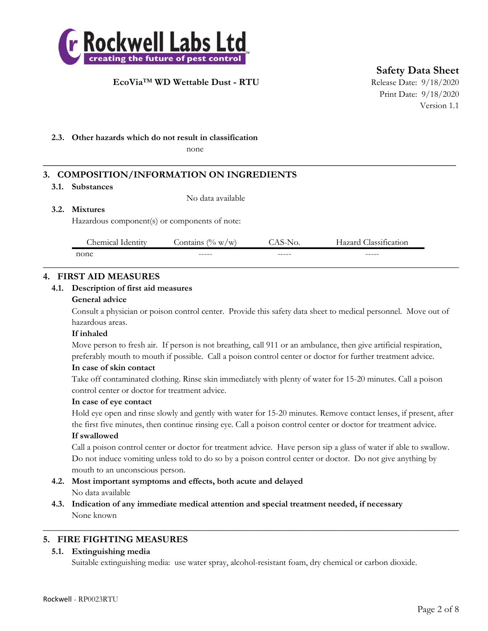

**Safety Data Sheet**

Print Date: 9/18/2020 Version 1.1

### **2.3. Other hazards which do not result in classification**

none

# **3. COMPOSITION/INFORMATION ON INGREDIENTS**

### **3.1. Substances**

No data available

### **3.2. Mixtures**

Hazardous component(s) or components of note:

| $\sim$<br>hemical<br>Identity | $\sqrt{0}$<br>ontains<br>W/W<br>''a | ,,,    | $\sim$<br>lazard<br>lassification |
|-------------------------------|-------------------------------------|--------|-----------------------------------|
| none                          | ------                              | ------ | ------                            |
|                               |                                     |        |                                   |

**\_\_\_\_\_\_\_\_\_\_\_\_\_\_\_\_\_\_\_\_\_\_\_\_\_\_\_\_\_\_\_\_\_\_\_\_\_\_\_\_\_\_\_\_\_\_\_\_\_\_\_\_\_\_\_\_\_\_\_\_\_\_\_\_\_\_\_\_\_\_\_\_\_\_**

### **4. FIRST AID MEASURES**

### **4.1. Description of first aid measures**

### **General advice**

Consult a physician or poison control center. Provide this safety data sheet to medical personnel. Move out of hazardous areas.

### **If inhaled**

Move person to fresh air. If person is not breathing, call 911 or an ambulance, then give artificial respiration, preferably mouth to mouth if possible. Call a poison control center or doctor for further treatment advice.

### **In case of skin contact**

Take off contaminated clothing. Rinse skin immediately with plenty of water for 15-20 minutes. Call a poison control center or doctor for treatment advice.

### **In case of eye contact**

Hold eye open and rinse slowly and gently with water for 15-20 minutes. Remove contact lenses, if present, after the first five minutes, then continue rinsing eye. Call a poison control center or doctor for treatment advice.

### **If swallowed**

Call a poison control center or doctor for treatment advice. Have person sip a glass of water if able to swallow. Do not induce vomiting unless told to do so by a poison control center or doctor. Do not give anything by mouth to an unconscious person.

- **4.2. Most important symptoms and effects, both acute and delayed** No data available
- **4.3. Indication of any immediate medical attention and special treatment needed, if necessary** None known

## **5. FIRE FIGHTING MEASURES**

### **5.1. Extinguishing media**

Suitable extinguishing media: use water spray, alcohol-resistant foam, dry chemical or carbon dioxide.

 $\_$  , and the set of the set of the set of the set of the set of the set of the set of the set of the set of the set of the set of the set of the set of the set of the set of the set of the set of the set of the set of th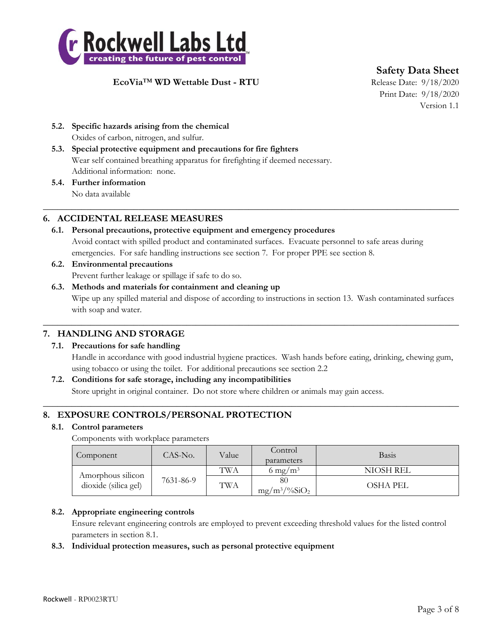

**Safety Data Sheet**

Print Date: 9/18/2020 Version 1.1

- **5.2. Specific hazards arising from the chemical** Oxides of carbon, nitrogen, and sulfur.
- **5.3. Special protective equipment and precautions for fire fighters** Wear self contained breathing apparatus for firefighting if deemed necessary. Additional information: none.
- **5.4. Further information** No data available

## **6. ACCIDENTAL RELEASE MEASURES**

**6.1. Personal precautions, protective equipment and emergency procedures** Avoid contact with spilled product and contaminated surfaces. Evacuate personnel to safe areas during emergencies. For safe handling instructions see section 7. For proper PPE see section 8.

 $\_$  , and the set of the set of the set of the set of the set of the set of the set of the set of the set of the set of the set of the set of the set of the set of the set of the set of the set of the set of the set of th

- **6.2. Environmental precautions** Prevent further leakage or spillage if safe to do so.
- **6.3. Methods and materials for containment and cleaning up** Wipe up any spilled material and dispose of according to instructions in section 13. Wash contaminated surfaces with soap and water.

 $\_$  , and the set of the set of the set of the set of the set of the set of the set of the set of the set of the set of the set of the set of the set of the set of the set of the set of the set of the set of the set of th

 $\_$  , and the set of the set of the set of the set of the set of the set of the set of the set of the set of the set of the set of the set of the set of the set of the set of the set of the set of the set of the set of th

# **7. HANDLING AND STORAGE**

## **7.1. Precautions for safe handling**

Handle in accordance with good industrial hygiene practices. Wash hands before eating, drinking, chewing gum, using tobacco or using the toilet. For additional precautions see section 2.2

## **7.2. Conditions for safe storage, including any incompatibilities**

Store upright in original container. Do not store where children or animals may gain access.

## **8. EXPOSURE CONTROLS/PERSONAL PROTECTION**

### **8.1. Control parameters**

Components with workplace parameters

| Component                                 | $CAS-N0$ . | Value | Control<br>parameters           | <b>Basis</b>    |
|-------------------------------------------|------------|-------|---------------------------------|-----------------|
|                                           | 7631-86-9  | TWA   | 6 mg/m <sup>3</sup>             | NIOSH REL       |
| Amorphous silicon<br>dioxide (silica gel) |            | TWA   | 80<br>$mg/m^3/\frac{9}{6}SiO_2$ | <b>OSHA PEL</b> |

## **8.2. Appropriate engineering controls**

Ensure relevant engineering controls are employed to prevent exceeding threshold values for the listed control parameters in section 8.1.

## **8.3. Individual protection measures, such as personal protective equipment**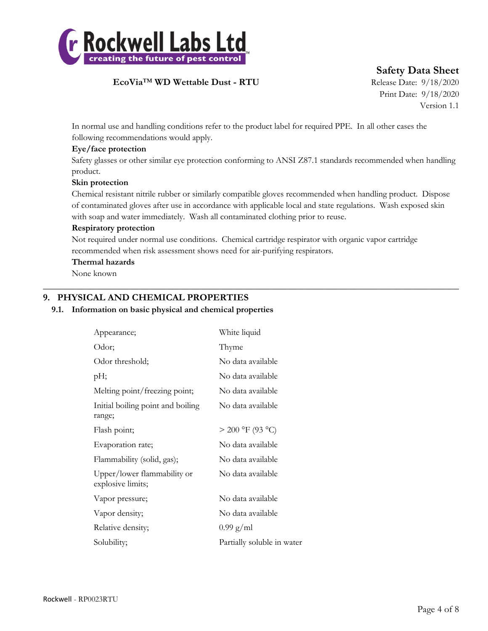

**Safety Data Sheet**

Print Date: 9/18/2020 Version 1.1

In normal use and handling conditions refer to the product label for required PPE. In all other cases the following recommendations would apply.

### **Eye/face protection**

Safety glasses or other similar eye protection conforming to ANSI Z87.1 standards recommended when handling product.

### **Skin protection**

Chemical resistant nitrile rubber or similarly compatible gloves recommended when handling product. Dispose of contaminated gloves after use in accordance with applicable local and state regulations. Wash exposed skin with soap and water immediately. Wash all contaminated clothing prior to reuse.

### **Respiratory protection**

Not required under normal use conditions. Chemical cartridge respirator with organic vapor cartridge recommended when risk assessment shows need for air-purifying respirators.

 $\_$  , and the set of the set of the set of the set of the set of the set of the set of the set of the set of the set of the set of the set of the set of the set of the set of the set of the set of the set of the set of th

### **Thermal hazards**

None known

## **9. PHYSICAL AND CHEMICAL PROPERTIES**

### **9.1. Information on basic physical and chemical properties**

| Appearance;                                      | White liquid               |
|--------------------------------------------------|----------------------------|
| Odor;                                            | Thyme                      |
| Odor threshold;                                  | No data available          |
| pH;                                              | No data available          |
| Melting point/freezing point;                    | No data available          |
| Initial boiling point and boiling<br>range;      | No data available          |
| Flash point;                                     | $> 200$ °F (93 °C)         |
| Evaporation rate;                                | No data available          |
| Flammability (solid, gas);                       | No data available          |
| Upper/lower flammability or<br>explosive limits; | No data available          |
| Vapor pressure;                                  | No data available          |
| Vapor density;                                   | No data available          |
| Relative density;                                | $0.99$ g/ml                |
| Solubility;                                      | Partially soluble in water |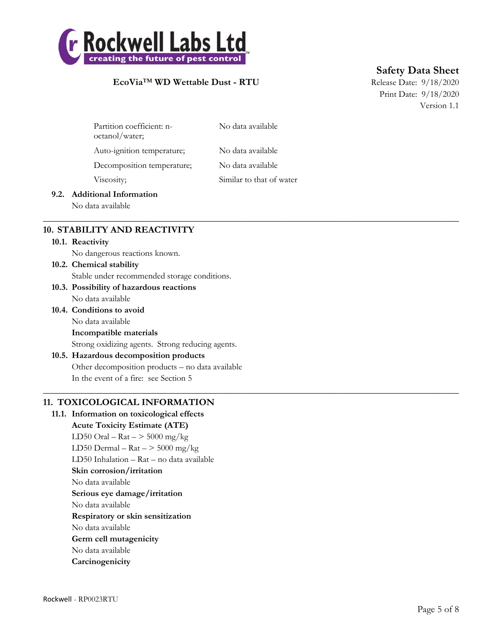

# **Safety Data Sheet**

Print Date: 9/18/2020 Version 1.1

| Partition coefficient: n-<br>octanol/water; | No data available        |
|---------------------------------------------|--------------------------|
| Auto-ignition temperature;                  | No data available        |
| Decomposition temperature;                  | No data available        |
| Viscosity;                                  | Similar to that of water |
|                                             |                          |

 $\_$  , and the set of the set of the set of the set of the set of the set of the set of the set of the set of the set of the set of the set of the set of the set of the set of the set of the set of the set of the set of th

 $\_$  , and the set of the set of the set of the set of the set of the set of the set of the set of the set of the set of the set of the set of the set of the set of the set of the set of the set of the set of the set of th

### **9.2. Additional Information**

No data available

## **10. STABILITY AND REACTIVITY**

#### **10.1. Reactivity**

No dangerous reactions known.

**10.2. Chemical stability** Stable under recommended storage conditions.

### **10.3. Possibility of hazardous reactions** No data available

**10.4. Conditions to avoid** No data available **Incompatible materials** Strong oxidizing agents. Strong reducing agents.

## **10.5. Hazardous decomposition products** Other decomposition products – no data available In the event of a fire: see Section 5

## **11. TOXICOLOGICAL INFORMATION**

**11.1. Information on toxicological effects Acute Toxicity Estimate (ATE)** LD50 Oral –  $\text{Rat}$  –  $>$  5000 mg/kg LD50 Dermal –  $\text{Rat}$  –  $>$  5000 mg/kg LD50 Inhalation – Rat – no data available **Skin corrosion/irritation** No data available **Serious eye damage/irritation** No data available **Respiratory or skin sensitization** No data available **Germ cell mutagenicity** No data available **Carcinogenicity**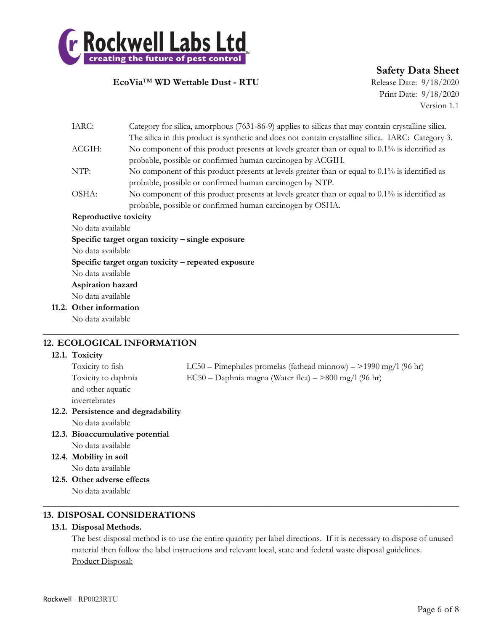

**Safety Data Sheet**

Print Date: 9/18/2020 Version 1.1

| IARC:                 | Category for silica, amorphous (7631-86-9) applies to silicas that may contain crystalline silica. |
|-----------------------|----------------------------------------------------------------------------------------------------|
|                       | The silica in this product is synthetic and does not contain crystalline silica. IARC: Category 3. |
| ACGIH:                | No component of this product presents at levels greater than or equal to $0.1\%$ is identified as  |
|                       | probable, possible or confirmed human carcinogen by ACGIH.                                         |
| NTP:                  | No component of this product presents at levels greater than or equal to $0.1\%$ is identified as  |
|                       | probable, possible or confirmed human carcinogen by NTP.                                           |
| OSHA:                 | No component of this product presents at levels greater than or equal to $0.1\%$ is identified as  |
|                       | probable, possible or confirmed human carcinogen by OSHA.                                          |
| Reproductive toxicity |                                                                                                    |
| No data available     |                                                                                                    |
|                       | Specific target organ toxicity $-$ single exposure                                                 |
| No data available     |                                                                                                    |
|                       | Specific target organ toxicity – repeated exposure                                                 |
| No data available     |                                                                                                    |
| Aspiration hazard     |                                                                                                    |
| No data available     |                                                                                                    |
| Other information     |                                                                                                    |
| No data available     |                                                                                                    |

## **12. ECOLOGICAL INFORMATION**

### **12.1. Toxicity**

**11.2.** 

 $12.3.$ 

 $12.4.$ 

 $12.5.$ 

| Toxicity to fish                    | $LC50 - P$ imephales promelas (fathead minnow) $-$ >1990 mg/l (96 hr) |
|-------------------------------------|-----------------------------------------------------------------------|
| Toxicity to daphnia                 | $EC50 - Daphnia$ magna (Water flea) $-$ >800 mg/l (96 hr)             |
| and other aquatic                   |                                                                       |
| invertebrates                       |                                                                       |
| 12.2. Persistence and degradability |                                                                       |
| No data available                   |                                                                       |
| 12.3. Bioaccumulative potential     |                                                                       |
| No data available                   |                                                                       |
| 12.4. Mobility in soil              |                                                                       |
| No data available                   |                                                                       |
| 12.5. Other adverse effects         |                                                                       |

 $\_$  , and the set of the set of the set of the set of the set of the set of the set of the set of the set of the set of the set of the set of the set of the set of the set of the set of the set of the set of the set of th

 $\_$  , and the set of the set of the set of the set of the set of the set of the set of the set of the set of the set of the set of the set of the set of the set of the set of the set of the set of the set of the set of th

No data available

### **13. DISPOSAL CONSIDERATIONS**

### **13.1. Disposal Methods.**

The best disposal method is to use the entire quantity per label directions. If it is necessary to dispose of unused material then follow the label instructions and relevant local, state and federal waste disposal guidelines. Product Disposal: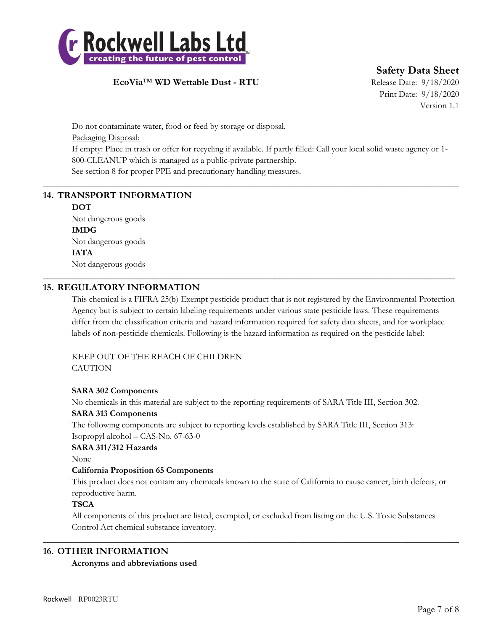

**Safety Data Sheet**

Print Date: 9/18/2020 Version 1.1

Do not contaminate water, food or feed by storage or disposal. Packaging Disposal: If empty: Place in trash or offer for recycling if available. If partly filled: Call your local solid waste agency or 1- 800-CLEANUP which is managed as a public-private partnership. See section 8 for proper PPE and precautionary handling measures.

 $\_$  , and the set of the set of the set of the set of the set of the set of the set of the set of the set of the set of the set of the set of the set of the set of the set of the set of the set of the set of the set of th

\_\_\_\_\_\_\_\_\_\_\_\_\_\_\_\_\_\_\_\_\_\_\_\_\_\_\_\_\_\_\_\_\_\_\_\_\_\_\_\_\_\_\_\_\_\_\_\_\_\_\_\_\_\_\_\_\_\_\_\_\_\_\_\_\_\_\_\_\_\_\_\_\_\_\_\_\_\_\_\_\_\_\_\_\_\_\_\_\_\_\_\_\_\_

# **14. TRANSPORT INFORMATION**

## **DOT**

Not dangerous goods **IMDG** Not dangerous goods **IATA** Not dangerous goods

## **15. REGULATORY INFORMATION**

This chemical is a FIFRA 25(b) Exempt pesticide product that is not registered by the Environmental Protection Agency but is subject to certain labeling requirements under various state pesticide laws. These requirements differ from the classification criteria and hazard information required for safety data sheets, and for workplace labels of non-pesticide chemicals. Following is the hazard information as required on the pesticide label:

### KEEP OUT OF THE REACH OF CHILDREN **CAUTION**

### **SARA 302 Components**

No chemicals in this material are subject to the reporting requirements of SARA Title III, Section 302.

### **SARA 313 Components**

The following components are subject to reporting levels established by SARA Title III, Section 313: Isopropyl alcohol – CAS-No. 67-63-0

### **SARA 311/312 Hazards**

None

### **California Proposition 65 Components**

This product does not contain any chemicals known to the state of California to cause cancer, birth defects, or reproductive harm.

### **TSCA**

All components of this product are listed, exempted, or excluded from listing on the U.S. Toxic Substances Control Act chemical substance inventory.

 $\_$  , and the set of the set of the set of the set of the set of the set of the set of the set of the set of the set of the set of the set of the set of the set of the set of the set of the set of the set of the set of th

## **16. OTHER INFORMATION**

### **Acronyms and abbreviations used**